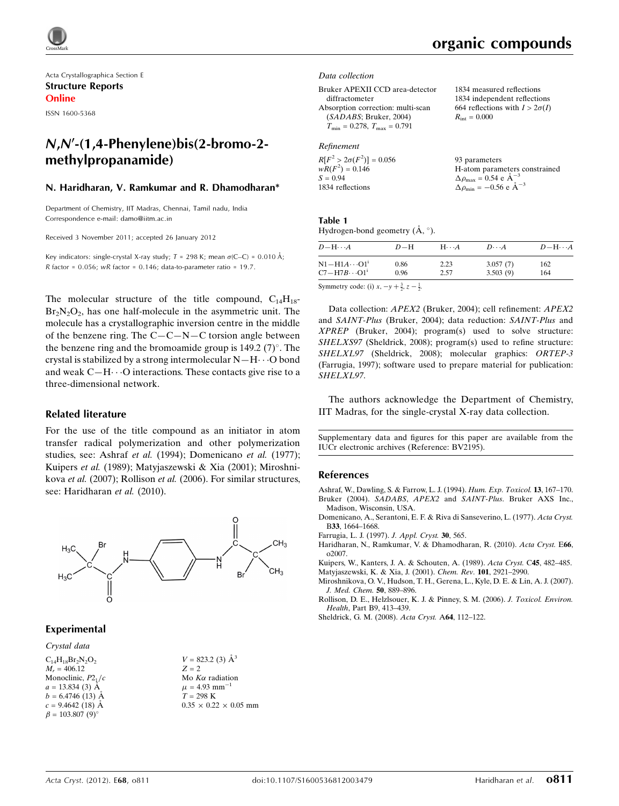Acta Crystallographica Section E Structure Reports Online

ISSN 1600-5368

# N,N'-(1,4-Phenylene)bis(2-bromo-2methylpropanamide)

### N. Haridharan, V. Ramkumar and R. Dhamodharan\*

Department of Chemistry, IIT Madras, Chennai, Tamil nadu, India Correspondence e-mail: [damo@iitm.ac.in](http://scripts.iucr.org/cgi-bin/cr.cgi?rm=pdfbb&cnor=bv2195&bbid=BB10)

Received 3 November 2011; accepted 26 January 2012

Key indicators: single-crystal X-ray study;  $T = 298$  K; mean  $\sigma$ (C–C) = 0.010 Å; R factor =  $0.056$ ; wR factor =  $0.146$ ; data-to-parameter ratio = 19.7.

The molecular structure of the title compound,  $C_{14}H_{18}$ - $Br_2N_2O_2$ , has one half-molecule in the asymmetric unit. The molecule has a crystallographic inversion centre in the middle of the benzene ring. The  $C - C - N - C$  torsion angle between the benzene ring and the bromoamide group is  $149.2$  (7)°. The crystal is stabilized by a strong intermolecular  $N-H\cdots O$  bond and weak  $C-H\cdots$ O interactions. These contacts give rise to a three-dimensional network.

#### Related literature

For the use of the title compound as an initiator in atom transfer radical polymerization and other polymerization studies, see: Ashraf et al. (1994); Domenicano et al. (1977); Kuipers et al. (1989); Matyjaszewski & Xia (2001); Miroshnikova et al. (2007); Rollison et al. (2006). For similar structures, see: Haridharan et al. (2010).



# Experimental

Crystal data  $C_{14}H_{18}Br_2N_2O_2$  $M_r = 406.12$ Monoclinic,  $P2<sub>1</sub>/c$  $a = 13.834(3)$  Å  $b = 6.4746(13)$  Å  $c = 9.4642(18)$  Å  $\beta = 103.807 (9)$ °

| $V = 823.2$ (3) A                 |  |
|-----------------------------------|--|
| $Z = 2$                           |  |
| Mo $K\alpha$ radiation            |  |
| $\mu = 4.93$ mm <sup>-1</sup>     |  |
| $T = 298 \text{ K}$               |  |
| $0.35 \times 0.22 \times 0.05$ mm |  |
|                                   |  |

 $V = 822.2 \times 13$ 

# organic compounds

1834 measured reflections 1834 independent reflections 664 reflections with  $I > 2\sigma(I)$ 

 $R_{\text{int}} = 0.000$ 

#### Data collection

Bruker APEXII CCD area-detector diffractometer Absorption correction: multi-scan (SADABS; Bruker, 2004)  $T_{\text{min}} = 0.278$ ,  $T_{\text{max}} = 0.791$ 

# Refinement

| $R[F^2 > 2\sigma(F^2)] = 0.056$ | 93 parameters                                      |
|---------------------------------|----------------------------------------------------|
| $wR(F^2) = 0.146$               | H-atom parameters constrained                      |
| $S = 0.94$                      | $\Delta \rho_{\text{max}} = 0.54 \text{ e A}^{-3}$ |
| 1834 reflections                | $\Delta \rho_{\text{min}} = -0.56$ e $\AA^{-3}$    |

#### Table 1

Hydrogen-bond geometry  $(\AA, \degree)$ .

| $D - H \cdots A$       | $D-H$ | $H\cdots A$ | $D\cdots A$ | $D - H \cdots A$ |
|------------------------|-------|-------------|-------------|------------------|
| $N1 - H1A \cdots O1^i$ | 0.86  | 2.23        | 3.057(7)    | 162              |
| $C7 - H7B \cdots O1^i$ | 0.96  | 2.57        | 3.503(9)    | 164              |
|                        |       |             |             |                  |

Symmetry code: (i)  $x, -y + \frac{3}{2}, z - \frac{1}{2}$ .

Data collection: APEX2 (Bruker, 2004); cell refinement: APEX2 and SAINT-Plus (Bruker, 2004); data reduction: SAINT-Plus and XPREP (Bruker, 2004); program(s) used to solve structure: SHELXS97 (Sheldrick, 2008); program(s) used to refine structure: SHELXL97 (Sheldrick, 2008); molecular graphics: ORTEP-3 (Farrugia, 1997); software used to prepare material for publication: SHELXL97.

The authors acknowledge the Department of Chemistry, IIT Madras, for the single-crystal X-ray data collection.

Supplementary data and figures for this paper are available from the IUCr electronic archives (Reference: BV2195).

#### References

- [Ashraf, W., Dawling, S. & Farrow, L. J. \(1994\).](http://scripts.iucr.org/cgi-bin/cr.cgi?rm=pdfbb&cnor=bv2195&bbid=BB1) Hum. Exp. Toxicol. 13, 167–170. Bruker (2004). SADABS, APEX2 and SAINT-Plus[. Bruker AXS Inc.,](http://scripts.iucr.org/cgi-bin/cr.cgi?rm=pdfbb&cnor=bv2195&bbid=BB2) [Madison, Wisconsin, USA.](http://scripts.iucr.org/cgi-bin/cr.cgi?rm=pdfbb&cnor=bv2195&bbid=BB2)
- [Domenicano, A., Serantoni, E. F. & Riva di Sanseverino, L. \(1977\).](http://scripts.iucr.org/cgi-bin/cr.cgi?rm=pdfbb&cnor=bv2195&bbid=BB3) Acta Cryst. B33[, 1664–1668.](http://scripts.iucr.org/cgi-bin/cr.cgi?rm=pdfbb&cnor=bv2195&bbid=BB3)
- [Farrugia, L. J. \(1997\).](http://scripts.iucr.org/cgi-bin/cr.cgi?rm=pdfbb&cnor=bv2195&bbid=BB4) J. Appl. Cryst. 30, 565.
- [Haridharan, N., Ramkumar, V. & Dhamodharan, R. \(2010\).](http://scripts.iucr.org/cgi-bin/cr.cgi?rm=pdfbb&cnor=bv2195&bbid=BB5) Acta Cryst. E66, [o2007.](http://scripts.iucr.org/cgi-bin/cr.cgi?rm=pdfbb&cnor=bv2195&bbid=BB5)
- [Kuipers, W., Kanters, J. A. & Schouten, A. \(1989\).](http://scripts.iucr.org/cgi-bin/cr.cgi?rm=pdfbb&cnor=bv2195&bbid=BB6) Acta Cryst. C45, 482–485. [Matyjaszewski, K. & Xia, J. \(2001\).](http://scripts.iucr.org/cgi-bin/cr.cgi?rm=pdfbb&cnor=bv2195&bbid=BB7) Chem. Rev. 101, 2921–2990.
- [Miroshnikova, O. V., Hudson, T. H., Gerena, L., Kyle, D. E. & Lin, A. J. \(2007\).](http://scripts.iucr.org/cgi-bin/cr.cgi?rm=pdfbb&cnor=bv2195&bbid=BB8) [J. Med. Chem.](http://scripts.iucr.org/cgi-bin/cr.cgi?rm=pdfbb&cnor=bv2195&bbid=BB8) 50, 889–896.
- [Rollison, D. E., Helzlsouer, K. J. & Pinney, S. M. \(2006\).](http://scripts.iucr.org/cgi-bin/cr.cgi?rm=pdfbb&cnor=bv2195&bbid=BB9) J. Toxicol. Environ. Health[, Part B9, 413–439.](http://scripts.iucr.org/cgi-bin/cr.cgi?rm=pdfbb&cnor=bv2195&bbid=BB9)
- [Sheldrick, G. M. \(2008\).](http://scripts.iucr.org/cgi-bin/cr.cgi?rm=pdfbb&cnor=bv2195&bbid=BB10) Acta Cryst. A64, 112–122.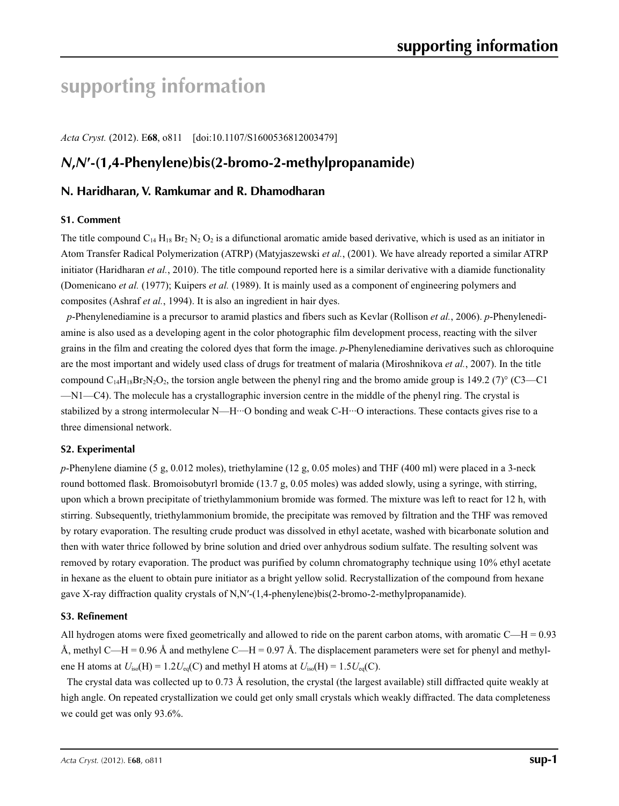# **supporting information**

*Acta Cryst.* (2012). E**68**, o811 [doi:10.1107/S1600536812003479]

# *N***,***N***′-(1,4-Phenylene)bis(2-bromo-2-methylpropanamide)**

# **N. Haridharan, V. Ramkumar and R. Dhamodharan**

# **S1. Comment**

The title compound  $C_{14} H_{18} Br_2 N_2 O_2$  is a difunctional aromatic amide based derivative, which is used as an initiator in Atom Transfer Radical Polymerization (ATRP) (Matyjaszewski *et al.*, (2001). We have already reported a similar ATRP initiator (Haridharan *et al.*, 2010). The title compound reported here is a similar derivative with a diamide functionality (Domenicano *et al.* (1977); Kuipers *et al.* (1989). It is mainly used as a component of engineering polymers and composites (Ashraf *et al.*, 1994). It is also an ingredient in hair dyes.

*p*-Phenylenediamine is a precursor to aramid plastics and fibers such as Kevlar (Rollison *et al.*, 2006). *p*-Phenylenediamine is also used as a developing agent in the color photographic film development process, reacting with the silver grains in the film and creating the colored dyes that form the image. *p*-Phenylenediamine derivatives such as chloroquine are the most important and widely used class of drugs for treatment of malaria (Miroshnikova *et al.*, 2007). In the title compound  $C_{14}H_{18}Br_2N_2O_2$ , the torsion angle between the phenyl ring and the bromo amide group is 149.2 (7)° (C3—C1 —N1—C4). The molecule has a crystallographic inversion centre in the middle of the phenyl ring. The crystal is stabilized by a strong intermolecular N—H···O bonding and weak C-H···O interactions. These contacts gives rise to a three dimensional network.

# **S2. Experimental**

*p*-Phenylene diamine (5 g, 0.012 moles), triethylamine (12 g, 0.05 moles) and THF (400 ml) were placed in a 3-neck round bottomed flask. Bromoisobutyrl bromide (13.7 g, 0.05 moles) was added slowly, using a syringe, with stirring, upon which a brown precipitate of triethylammonium bromide was formed. The mixture was left to react for 12 h, with stirring. Subsequently, triethylammonium bromide, the precipitate was removed by filtration and the THF was removed by rotary evaporation. The resulting crude product was dissolved in ethyl acetate, washed with bicarbonate solution and then with water thrice followed by brine solution and dried over anhydrous sodium sulfate. The resulting solvent was removed by rotary evaporation. The product was purified by column chromatography technique using 10% ethyl acetate in hexane as the eluent to obtain pure initiator as a bright yellow solid. Recrystallization of the compound from hexane gave X-ray diffraction quality crystals of N,N′-(1,4-phenylene)bis(2-bromo-2-methylpropanamide).

# **S3. Refinement**

All hydrogen atoms were fixed geometrically and allowed to ride on the parent carbon atoms, with aromatic  $C-H = 0.93$ Å, methyl C—H = 0.96 Å and methylene C—H = 0.97 Å. The displacement parameters were set for phenyl and methylene H atoms at  $U_{\text{iso}}(H) = 1.2U_{\text{eq}}(C)$  and methyl H atoms at  $U_{\text{iso}}(H) = 1.5U_{\text{eq}}(C)$ .

The crystal data was collected up to 0.73 Å resolution, the crystal (the largest available) still diffracted quite weakly at high angle. On repeated crystallization we could get only small crystals which weakly diffracted. The data completeness we could get was only 93.6%.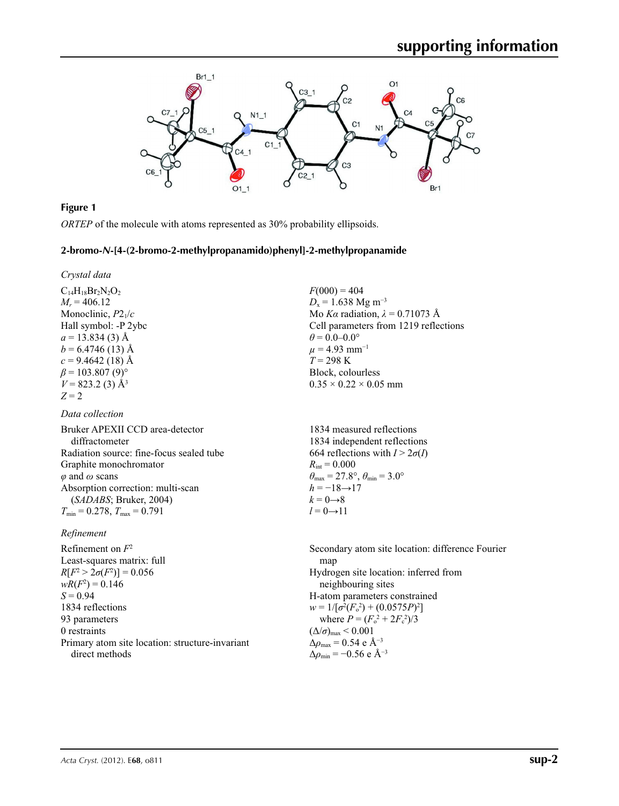

# **Figure 1**

*ORTEP* of the molecule with atoms represented as 30% probability ellipsoids.

# **2-bromo-***N***-[4-(2-bromo-2-methylpropanamido)phenyl]-2-methylpropanamide**

*Crystal data*

 $C_{14}H_{18}Br_2N_2O_2$  $M_r = 406.12$ Monoclinic, *P*21/*c* Hall symbol: -P 2ybc  $a = 13.834(3)$  Å  $b = 6.4746(13)$  Å  $c = 9.4642(18)$  Å  $\beta$  = 103.807 (9)<sup>o</sup>  $V = 823.2$  (3)  $\AA$ <sup>3</sup>  $Z = 2$ 

# *Data collection*

Bruker APEXII CCD area-detector diffractometer Radiation source: fine-focus sealed tube Graphite monochromator *φ* and *ω* scans Absorption correction: multi-scan (*SADABS*; Bruker, 2004)  $T_{\text{min}} = 0.278$ ,  $T_{\text{max}} = 0.791$ 

# *Refinement*

Refinement on *F*<sup>2</sup> Least-squares matrix: full *R*[ $F^2 > 2\sigma(F^2)$ ] = 0.056  $wR(F^2) = 0.146$ *S* = 0.94 1834 reflections 93 parameters 0 restraints Primary atom site location: structure-invariant direct methods

 $F(000) = 404$  $D_x = 1.638$  Mg m<sup>-3</sup> Mo *Kα* radiation,  $\lambda = 0.71073$  Å Cell parameters from 1219 reflections  $\theta$  = 0.0–0.0°  $\mu$  = 4.93 mm<sup>-1</sup>  $T = 298 \text{ K}$ Block, colourless  $0.35 \times 0.22 \times 0.05$  mm

1834 measured reflections 1834 independent reflections 664 reflections with  $I > 2\sigma(I)$  $R_{\text{int}} = 0.000$  $\theta_{\text{max}} = 27.8^{\circ}, \theta_{\text{min}} = 3.0^{\circ}$  $h = -18 \rightarrow 17$  $k = 0 \rightarrow 8$  $l = 0 \rightarrow 11$ 

Secondary atom site location: difference Fourier map Hydrogen site location: inferred from neighbouring sites H-atom parameters constrained  $w = 1/[\sigma^2 (F_o^2) + (0.0575P)^2]$ where  $P = (F_o^2 + 2F_c^2)/3$  $(\Delta/\sigma)_{\text{max}}$  < 0.001 Δ*ρ*max = 0.54 e Å−3  $\Delta \rho_{\text{min}} = -0.56 \text{ e A}^{-3}$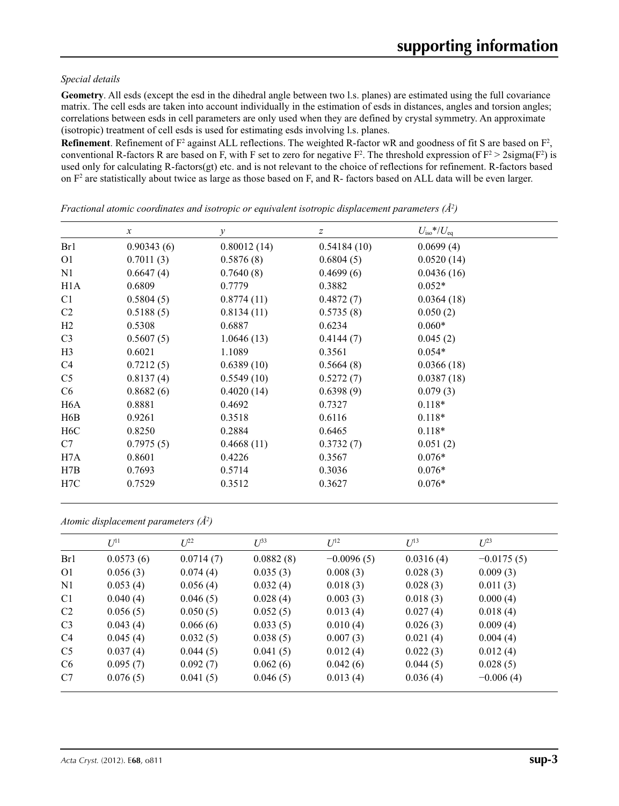# *Special details*

**Geometry**. All esds (except the esd in the dihedral angle between two l.s. planes) are estimated using the full covariance matrix. The cell esds are taken into account individually in the estimation of esds in distances, angles and torsion angles; correlations between esds in cell parameters are only used when they are defined by crystal symmetry. An approximate (isotropic) treatment of cell esds is used for estimating esds involving l.s. planes.

**Refinement**. Refinement of  $F^2$  against ALL reflections. The weighted R-factor wR and goodness of fit S are based on  $F^2$ , conventional R-factors R are based on F, with F set to zero for negative  $F^2$ . The threshold expression of  $F^2 > 2 \text{sigma}(F^2)$  is used only for calculating R-factors(gt) etc. and is not relevant to the choice of reflections for refinement. R-factors based on  $F<sup>2</sup>$  are statistically about twice as large as those based on F, and R- factors based on ALL data will be even larger.

|                  | $\mathcal{X}$ | $\mathcal{Y}$ | z           | $U_{\rm iso}*/U_{\rm eq}$ |
|------------------|---------------|---------------|-------------|---------------------------|
| Br1              | 0.90343(6)    | 0.80012(14)   | 0.54184(10) | 0.0699(4)                 |
| O <sub>1</sub>   | 0.7011(3)     | 0.5876(8)     | 0.6804(5)   | 0.0520(14)                |
| N1               | 0.6647(4)     | 0.7640(8)     | 0.4699(6)   | 0.0436(16)                |
| H <sub>1</sub> A | 0.6809        | 0.7779        | 0.3882      | $0.052*$                  |
| C <sub>1</sub>   | 0.5804(5)     | 0.8774(11)    | 0.4872(7)   | 0.0364(18)                |
| C <sub>2</sub>   | 0.5188(5)     | 0.8134(11)    | 0.5735(8)   | 0.050(2)                  |
| H2               | 0.5308        | 0.6887        | 0.6234      | $0.060*$                  |
| C <sub>3</sub>   | 0.5607(5)     | 1.0646(13)    | 0.4144(7)   | 0.045(2)                  |
| H <sub>3</sub>   | 0.6021        | 1.1089        | 0.3561      | $0.054*$                  |
| C4               | 0.7212(5)     | 0.6389(10)    | 0.5664(8)   | 0.0366(18)                |
| C <sub>5</sub>   | 0.8137(4)     | 0.5549(10)    | 0.5272(7)   | 0.0387(18)                |
| C <sub>6</sub>   | 0.8682(6)     | 0.4020(14)    | 0.6398(9)   | 0.079(3)                  |
| H <sub>6</sub> A | 0.8881        | 0.4692        | 0.7327      | $0.118*$                  |
| H <sub>6</sub> B | 0.9261        | 0.3518        | 0.6116      | $0.118*$                  |
| H <sub>6</sub> C | 0.8250        | 0.2884        | 0.6465      | $0.118*$                  |
| C7               | 0.7975(5)     | 0.4668(11)    | 0.3732(7)   | 0.051(2)                  |
| H7A              | 0.8601        | 0.4226        | 0.3567      | $0.076*$                  |
| H7B              | 0.7693        | 0.5714        | 0.3036      | $0.076*$                  |
| H7C              | 0.7529        | 0.3512        | 0.3627      | $0.076*$                  |

*Fractional atomic coordinates and isotropic or equivalent isotropic displacement parameters (Å2 )*

| Atomic displacement parameters $(\AA^2)$ |  |  |  |  |
|------------------------------------------|--|--|--|--|
|------------------------------------------|--|--|--|--|

|                | $U^{11}$  | $U^{22}$  | $U^{33}$  | $U^{12}$     | $U^{13}$  | $U^{23}$     |
|----------------|-----------|-----------|-----------|--------------|-----------|--------------|
| Br1            | 0.0573(6) | 0.0714(7) | 0.0882(8) | $-0.0096(5)$ | 0.0316(4) | $-0.0175(5)$ |
| O <sub>1</sub> | 0.056(3)  | 0.074(4)  | 0.035(3)  | 0.008(3)     | 0.028(3)  | 0.009(3)     |
| N1             | 0.053(4)  | 0.056(4)  | 0.032(4)  | 0.018(3)     | 0.028(3)  | 0.011(3)     |
| C <sub>1</sub> | 0.040(4)  | 0.046(5)  | 0.028(4)  | 0.003(3)     | 0.018(3)  | 0.000(4)     |
| C <sub>2</sub> | 0.056(5)  | 0.050(5)  | 0.052(5)  | 0.013(4)     | 0.027(4)  | 0.018(4)     |
| C <sub>3</sub> | 0.043(4)  | 0.066(6)  | 0.033(5)  | 0.010(4)     | 0.026(3)  | 0.009(4)     |
| C <sub>4</sub> | 0.045(4)  | 0.032(5)  | 0.038(5)  | 0.007(3)     | 0.021(4)  | 0.004(4)     |
| C <sub>5</sub> | 0.037(4)  | 0.044(5)  | 0.041(5)  | 0.012(4)     | 0.022(3)  | 0.012(4)     |
| C <sub>6</sub> | 0.095(7)  | 0.092(7)  | 0.062(6)  | 0.042(6)     | 0.044(5)  | 0.028(5)     |
| C7             | 0.076(5)  | 0.041(5)  | 0.046(5)  | 0.013(4)     | 0.036(4)  | $-0.006(4)$  |